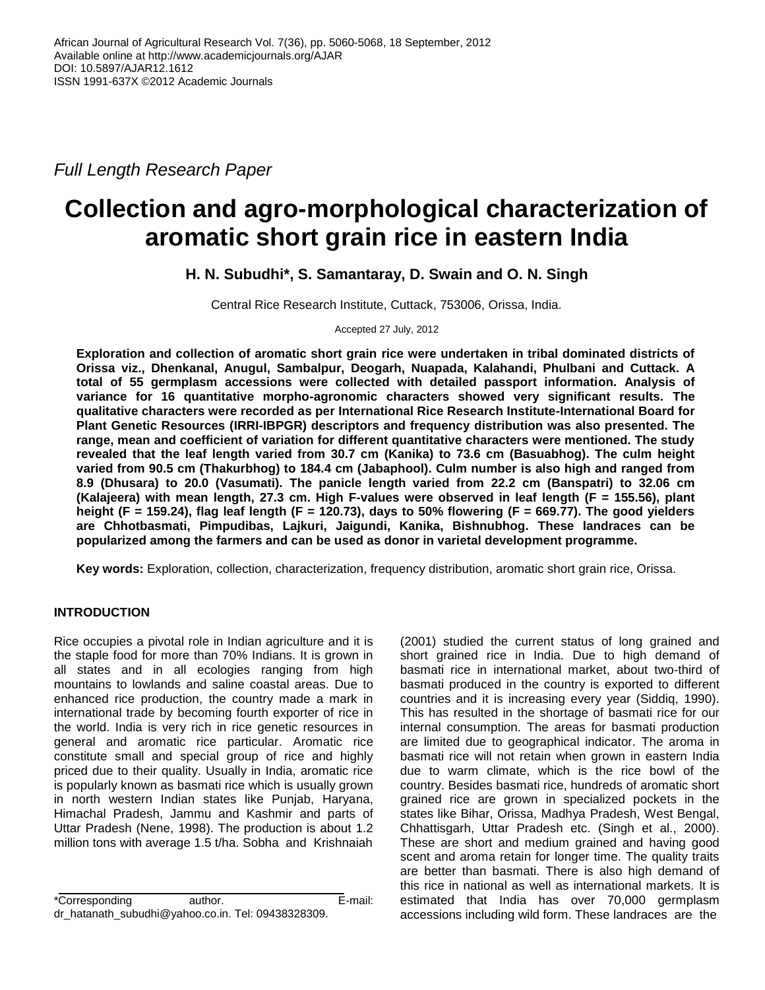*Full Length Research Paper*

# **Collection and agro-morphological characterization of aromatic short grain rice in eastern India**

# **H. N. Subudhi\*, S. Samantaray, D. Swain and O. N. Singh**

Central Rice Research Institute, Cuttack, 753006, Orissa, India.

Accepted 27 July, 2012

**Exploration and collection of aromatic short grain rice were undertaken in tribal dominated districts of Orissa viz., Dhenkanal, Anugul, Sambalpur, Deogarh, Nuapada, Kalahandi, Phulbani and Cuttack. A total of 55 germplasm accessions were collected with detailed passport information. Analysis of variance for 16 quantitative morpho-agronomic characters showed very significant results. The qualitative characters were recorded as per International Rice Research Institute-International Board for Plant Genetic Resources (IRRI-IBPGR) descriptors and frequency distribution was also presented. The range, mean and coefficient of variation for different quantitative characters were mentioned. The study revealed that the leaf length varied from 30.7 cm (Kanika) to 73.6 cm (Basuabhog). The culm height varied from 90.5 cm (Thakurbhog) to 184.4 cm (Jabaphool). Culm number is also high and ranged from 8.9 (Dhusara) to 20.0 (Vasumati). The panicle length varied from 22.2 cm (Banspatri) to 32.06 cm (Kalajeera) with mean length, 27.3 cm. High F-values were observed in leaf length (F = 155.56), plant height (F = 159.24), flag leaf length (F = 120.73), days to 50% flowering (F = 669.77). The good yielders are Chhotbasmati, Pimpudibas, Lajkuri, Jaigundi, Kanika, Bishnubhog. These landraces can be popularized among the farmers and can be used as donor in varietal development programme.**

**Key words:** Exploration, collection, characterization, frequency distribution, aromatic short grain rice, Orissa.

# **INTRODUCTION**

Rice occupies a pivotal role in Indian agriculture and it is the staple food for more than 70% Indians. It is grown in all states and in all ecologies ranging from high mountains to lowlands and saline coastal areas. Due to enhanced rice production, the country made a mark in international trade by becoming fourth exporter of rice in the world. India is very rich in rice genetic resources in general and aromatic rice particular. Aromatic rice constitute small and special group of rice and highly priced due to their quality. Usually in India, aromatic rice is popularly known as basmati rice which is usually grown in north western Indian states like Punjab, Haryana, Himachal Pradesh, Jammu and Kashmir and parts of Uttar Pradesh (Nene, 1998). The production is about 1.2 million tons with average 1.5 t/ha. Sobha and Krishnaiah

\*Corresponding author. E-mail: dr\_hatanath\_subudhi@yahoo.co.in. Tel: 09438328309.

(2001) studied the current status of long grained and short grained rice in India. Due to high demand of basmati rice in international market, about two-third of basmati produced in the country is exported to different countries and it is increasing every year (Siddiq, 1990). This has resulted in the shortage of basmati rice for our internal consumption. The areas for basmati production are limited due to geographical indicator. The aroma in basmati rice will not retain when grown in eastern India due to warm climate, which is the rice bowl of the country. Besides basmati rice, hundreds of aromatic short grained rice are grown in specialized pockets in the states like Bihar, Orissa, Madhya Pradesh, West Bengal, Chhattisgarh, Uttar Pradesh etc. (Singh et al., 2000). These are short and medium grained and having good scent and aroma retain for longer time. The quality traits are better than basmati. There is also high demand of this rice in national as well as international markets. It is estimated that India has over 70,000 germplasm accessions including wild form. These landraces are the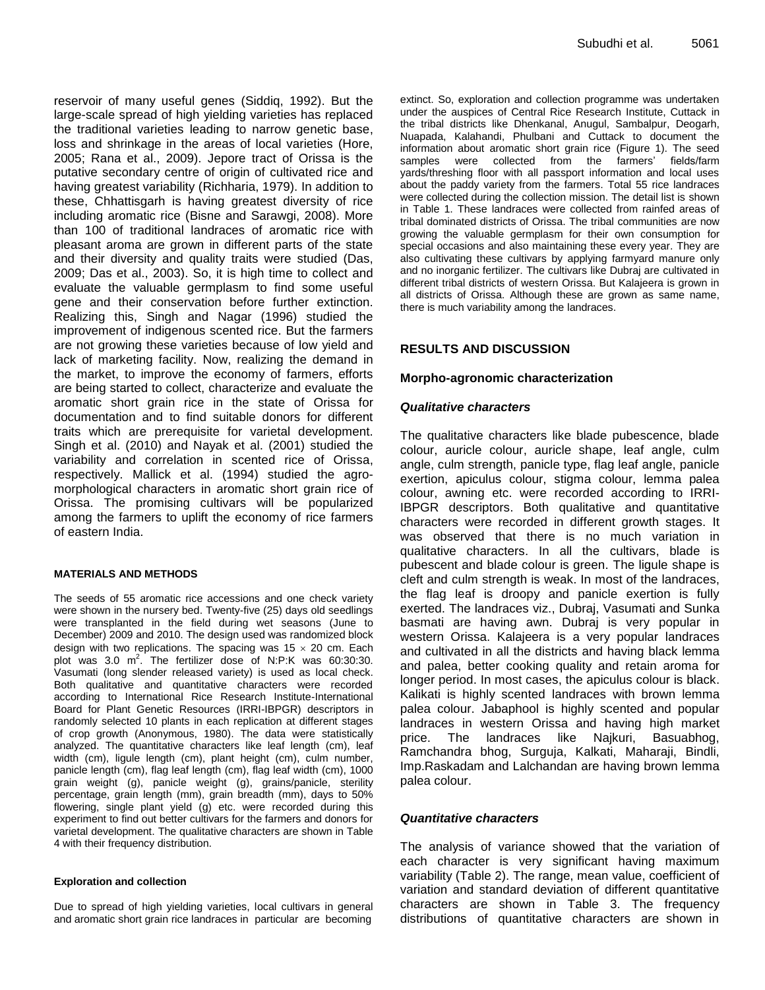reservoir of many useful genes (Siddiq, 1992). But the large-scale spread of high yielding varieties has replaced the traditional varieties leading to narrow genetic base, loss and shrinkage in the areas of local varieties (Hore, 2005; Rana et al., 2009). Jepore tract of Orissa is the putative secondary centre of origin of cultivated rice and having greatest variability (Richharia, 1979). In addition to these, Chhattisgarh is having greatest diversity of rice including aromatic rice (Bisne and Sarawgi, 2008). More than 100 of traditional landraces of aromatic rice with pleasant aroma are grown in different parts of the state and their diversity and quality traits were studied (Das, 2009; Das et al., 2003). So, it is high time to collect and evaluate the valuable germplasm to find some useful gene and their conservation before further extinction. Realizing this, Singh and Nagar (1996) studied the improvement of indigenous scented rice. But the farmers are not growing these varieties because of low yield and lack of marketing facility. Now, realizing the demand in the market, to improve the economy of farmers, efforts are being started to collect, characterize and evaluate the aromatic short grain rice in the state of Orissa for documentation and to find suitable donors for different traits which are prerequisite for varietal development. Singh et al. (2010) and Nayak et al. (2001) studied the variability and correlation in scented rice of Orissa, respectively. Mallick et al. (1994) studied the agromorphological characters in aromatic short grain rice of Orissa. The promising cultivars will be popularized among the farmers to uplift the economy of rice farmers of eastern India.

#### **MATERIALS AND METHODS**

The seeds of 55 aromatic rice accessions and one check variety were shown in the nursery bed. Twenty-five (25) days old seedlings were transplanted in the field during wet seasons (June to December) 2009 and 2010. The design used was randomized block design with two replications. The spacing was  $15 \times 20$  cm. Each plot was 3.0 m 2 . The fertilizer dose of N:P:K was 60:30:30. Vasumati (long slender released variety) is used as local check. Both qualitative and quantitative characters were recorded according to International Rice Research Institute-International Board for Plant Genetic Resources (IRRI-IBPGR) descriptors in randomly selected 10 plants in each replication at different stages of crop growth (Anonymous, 1980). The data were statistically analyzed. The quantitative characters like leaf length (cm), leaf width (cm), ligule length (cm), plant height (cm), culm number, panicle length (cm), flag leaf length (cm), flag leaf width (cm), 1000 grain weight (g), panicle weight (g), grains/panicle, sterility percentage, grain length (mm), grain breadth (mm), days to 50% flowering, single plant yield (g) etc. were recorded during this experiment to find out better cultivars for the farmers and donors for varietal development. The qualitative characters are shown in Table 4 with their frequency distribution.

#### **Exploration and collection**

Due to spread of high yielding varieties, local cultivars in general and aromatic short grain rice landraces in particular are becoming

extinct. So, exploration and collection programme was undertaken under the auspices of Central Rice Research Institute, Cuttack in the tribal districts like Dhenkanal, Anugul, Sambalpur, Deogarh, Nuapada, Kalahandi, Phulbani and Cuttack to document the information about aromatic short grain rice (Figure 1). The seed samples were collected from the farmers' fields/farm yards/threshing floor with all passport information and local uses about the paddy variety from the farmers. Total 55 rice landraces were collected during the collection mission. The detail list is shown in Table 1. These landraces were collected from rainfed areas of tribal dominated districts of Orissa. The tribal communities are now growing the valuable germplasm for their own consumption for special occasions and also maintaining these every year. They are also cultivating these cultivars by applying farmyard manure only and no inorganic fertilizer. The cultivars like Dubraj are cultivated in different tribal districts of western Orissa. But Kalajeera is grown in all districts of Orissa. Although these are grown as same name, there is much variability among the landraces.

## **RESULTS AND DISCUSSION**

#### **Morpho-agronomic characterization**

#### *Qualitative characters*

The qualitative characters like blade pubescence, blade colour, auricle colour, auricle shape, leaf angle, culm angle, culm strength, panicle type, flag leaf angle, panicle exertion, apiculus colour, stigma colour, lemma palea colour, awning etc. were recorded according to IRRI-IBPGR descriptors. Both qualitative and quantitative characters were recorded in different growth stages. It was observed that there is no much variation in qualitative characters. In all the cultivars, blade is pubescent and blade colour is green. The ligule shape is cleft and culm strength is weak. In most of the landraces, the flag leaf is droopy and panicle exertion is fully exerted. The landraces viz., Dubraj, Vasumati and Sunka basmati are having awn. Dubraj is very popular in western Orissa. Kalajeera is a very popular landraces and cultivated in all the districts and having black lemma and palea, better cooking quality and retain aroma for longer period. In most cases, the apiculus colour is black. Kalikati is highly scented landraces with brown lemma palea colour. Jabaphool is highly scented and popular landraces in western Orissa and having high market price. The landraces like Najkuri, Basuabhog, Ramchandra bhog, Surguja, Kalkati, Maharaji, Bindli, Imp.Raskadam and Lalchandan are having brown lemma palea colour.

## *Quantitative characters*

The analysis of variance showed that the variation of each character is very significant having maximum variability (Table 2). The range, mean value, coefficient of variation and standard deviation of different quantitative characters are shown in Table 3. The frequency distributions of quantitative characters are shown in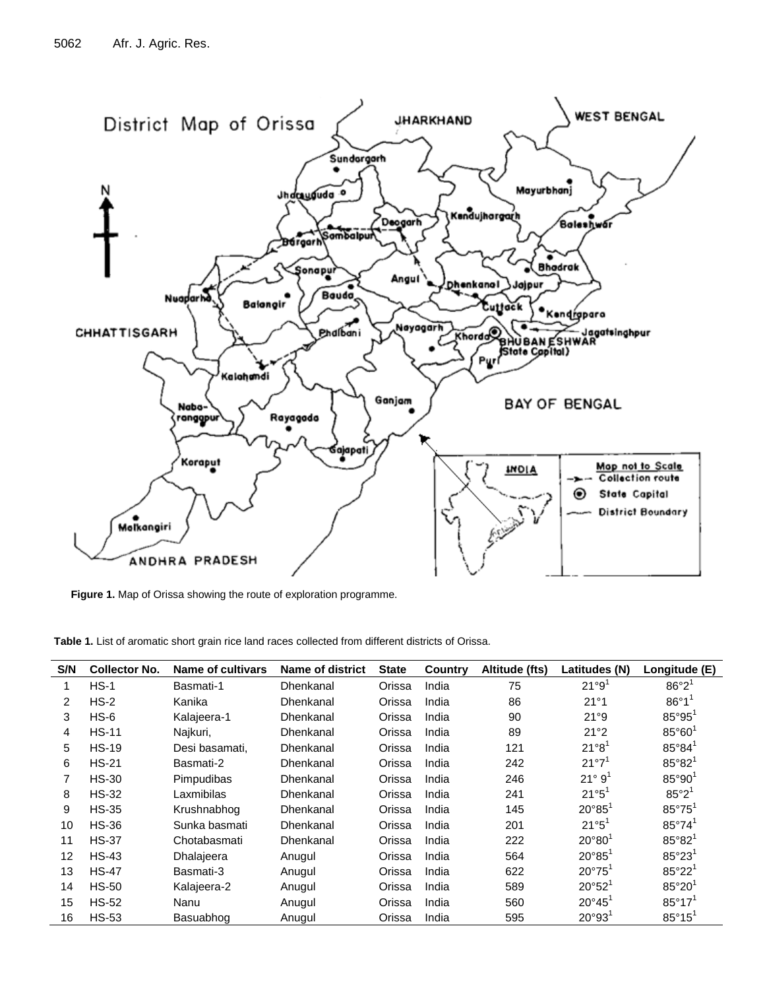

**Figure 1.** Map of Orissa showing the route of exploration programme.

**Table 1.** List of aromatic short grain rice land races collected from different districts of Orissa.

| S/N               | <b>Collector No.</b> | Name of cultivars | Name of district | <b>State</b> | Country | Altitude (fts) | Latitudes (N)          | Longitude (E)          |
|-------------------|----------------------|-------------------|------------------|--------------|---------|----------------|------------------------|------------------------|
|                   | $HS-1$               | Basmati-1         | Dhenkanal        | Orissa       | India   | 75             | $21°9^1$               | 86°2 <sup>1</sup>      |
| 2                 | $HS-2$               | Kanika            | Dhenkanal        | Orissa       | India   | 86             | 21°1                   | 86°1 <sup>1</sup>      |
| 3                 | $HS-6$               | Kalajeera-1       | <b>Dhenkanal</b> | Orissa       | India   | 90             | 21°9                   | 85°95                  |
| 4                 | $HS-11$              | Najkuri,          | <b>Dhenkanal</b> | Orissa       | India   | 89             | 21°2                   | $85^{\circ}60^{\circ}$ |
| 5                 | <b>HS-19</b>         | Desi basamati.    | Dhenkanal        | Orissa       | India   | 121            | $21°8^1$               | 85°84'                 |
| 6                 | $HS-21$              | Basmati-2         | Dhenkanal        | Orissa       | India   | 242            | 21°7'                  | 85°82 <sup>1</sup>     |
|                   | <b>HS-30</b>         | Pimpudibas        | <b>Dhenkanal</b> | Orissa       | India   | 246            | $21^{\circ} 9^1$       | 85°90'                 |
| 8                 | <b>HS-32</b>         | Laxmibilas        | <b>Dhenkanal</b> | Orissa       | India   | 241            | 21°5'                  | 85°2 <sup>1</sup>      |
| 9                 | <b>HS-35</b>         | Krushnabhog       | <b>Dhenkanal</b> | Orissa       | India   | 145            | $20^{\circ}85^{\circ}$ | $85^{\circ}75^{\circ}$ |
| 10                | <b>HS-36</b>         | Sunka basmati     | <b>Dhenkanal</b> | Orissa       | India   | 201            | $21°5^1$               | $85^{\circ}74^{\circ}$ |
| 11                | <b>HS-37</b>         | Chotabasmati      | Dhenkanal        | Orissa       | India   | 222            | $20^{\circ}80^1$       | 85°82 <sup>1</sup>     |
| $12 \overline{ }$ | $HS-43$              | <b>Dhalajeera</b> | Anugul           | Orissa       | India   | 564            | $20°85$ <sup>1</sup>   | $85^{\circ}23^{1}$     |
| 13                | <b>HS-47</b>         | Basmati-3         | Anugul           | Orissa       | India   | 622            | $20^{\circ}75^{\circ}$ | $85^{\circ}22^{1}$     |
| 14                | <b>HS-50</b>         | Kalajeera-2       | Anugul           | Orissa       | India   | 589            | $20^{\circ}52^1$       | $85^{\circ}20^{1}$     |
| 15                | <b>HS-52</b>         | Nanu              | Anugul           | Orissa       | India   | 560            | $20^{\circ}45^{\circ}$ | $85^{\circ}17^{\circ}$ |
| 16                | <b>HS-53</b>         | Basuabhog         | Anugul           | Orissa       | India   | 595            | 20°93 <sup>1</sup>     | $85^{\circ}15^{\circ}$ |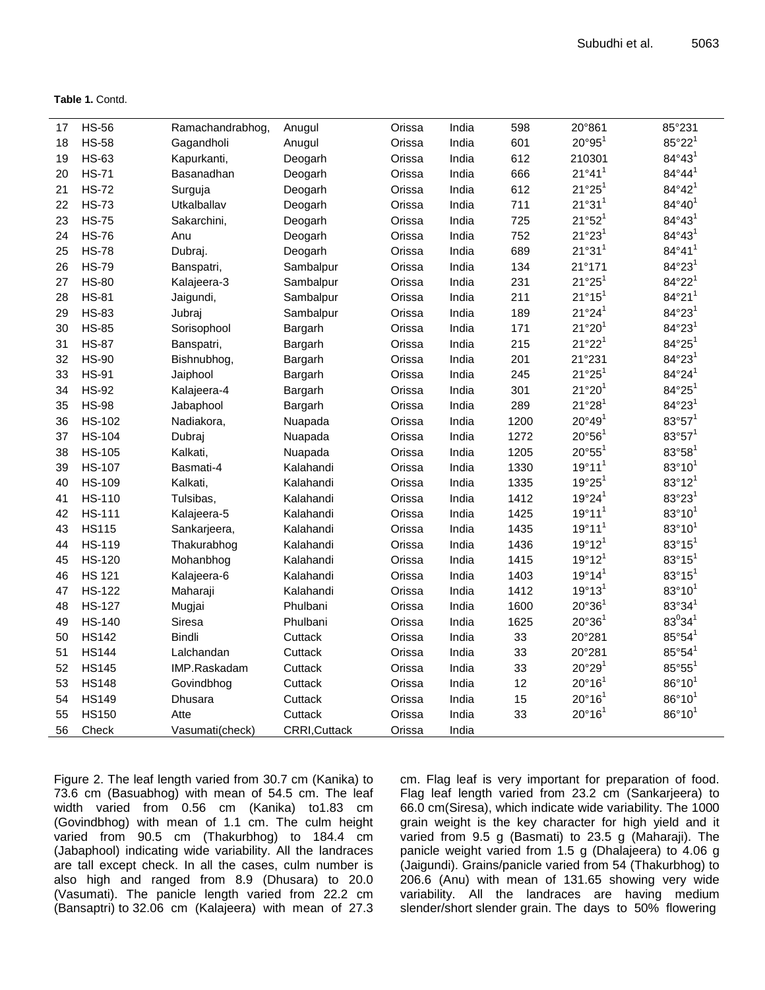|  | Table 1. Contd. |
|--|-----------------|
|  |                 |

| 17 | <b>HS-56</b>  | Ramachandrabhog, | Anugul        | Orissa | India | 598  | 20°861                 | 85°231                 |
|----|---------------|------------------|---------------|--------|-------|------|------------------------|------------------------|
| 18 | <b>HS-58</b>  | Gagandholi       | Anugul        | Orissa | India | 601  | 20°95 <sup>1</sup>     | 85°22 <sup>1</sup>     |
| 19 | <b>HS-63</b>  | Kapurkanti,      | Deogarh       | Orissa | India | 612  | 210301                 | $84^{\circ}43^{1}$     |
| 20 | <b>HS-71</b>  | Basanadhan       | Deogarh       | Orissa | India | 666  | 21°41'                 | $84^{\circ}44^{\circ}$ |
| 21 | <b>HS-72</b>  | Surguja          | Deogarh       | Orissa | India | 612  | 21°25 <sup>1</sup>     | $84^{\circ}42^{1}$     |
| 22 | <b>HS-73</b>  | Utkalballav      | Deogarh       | Orissa | India | 711  | 21°31 <sup>1</sup>     | $84^{\circ}40^{1}$     |
| 23 | <b>HS-75</b>  | Sakarchini,      | Deogarh       | Orissa | India | 725  | 21°52 <sup>1</sup>     | $84^{\circ}43^{1}$     |
| 24 | <b>HS-76</b>  | Anu              | Deogarh       | Orissa | India | 752  | 21°23 <sup>1</sup>     | $84^{\circ}43^{1}$     |
| 25 | <b>HS-78</b>  | Dubraj.          | Deogarh       | Orissa | India | 689  | 21°31 <sup>1</sup>     | $84^{\circ}41^{\circ}$ |
| 26 | <b>HS-79</b>  | Banspatri,       | Sambalpur     | Orissa | India | 134  | 21°171                 | 84°23 <sup>1</sup>     |
| 27 | <b>HS-80</b>  | Kalajeera-3      | Sambalpur     | Orissa | India | 231  | $21°25$ <sup>1</sup>   | 84°22 <sup>1</sup>     |
| 28 | <b>HS-81</b>  | Jaigundi,        | Sambalpur     | Orissa | India | 211  | $21^{\circ}15^{1}$     | 84°21 <sup>1</sup>     |
| 29 | <b>HS-83</b>  | Jubraj           | Sambalpur     | Orissa | India | 189  | 21°24 <sup>1</sup>     | 84°23 <sup>1</sup>     |
| 30 | <b>HS-85</b>  | Sorisophool      | Bargarh       | Orissa | India | 171  | 21°20 <sup>1</sup>     | 84°23 <sup>1</sup>     |
| 31 | <b>HS-87</b>  | Banspatri,       | Bargarh       | Orissa | India | 215  | 21°22 <sup>1</sup>     | $84°25$ <sup>1</sup>   |
| 32 | <b>HS-90</b>  | Bishnubhog,      | Bargarh       | Orissa | India | 201  | 21°231                 | 84°23 <sup>1</sup>     |
| 33 | <b>HS-91</b>  | Jaiphool         | Bargarh       | Orissa | India | 245  | $21°25$ <sup>1</sup>   | 84°24 <sup>1</sup>     |
| 34 | <b>HS-92</b>  | Kalajeera-4      | Bargarh       | Orissa | India | 301  | 21°20 <sup>1</sup>     | $84°25$ <sup>1</sup>   |
| 35 | <b>HS-98</b>  | Jabaphool        | Bargarh       | Orissa | India | 289  | 21°28 <sup>1</sup>     | 84°23 <sup>1</sup>     |
| 36 | <b>HS-102</b> | Nadiakora,       | Nuapada       | Orissa | India | 1200 | $20^{\circ}49^{\circ}$ | 83°57 <sup>1</sup>     |
| 37 | <b>HS-104</b> | Dubraj           | Nuapada       | Orissa | India | 1272 | 20°56 <sup>1</sup>     | 83°57 <sup>1</sup>     |
| 38 | <b>HS-105</b> | Kalkati,         | Nuapada       | Orissa | India | 1205 | 20°55 <sup>1</sup>     | $83°58^1$              |
| 39 | <b>HS-107</b> | Basmati-4        | Kalahandi     | Orissa | India | 1330 | 19°11 <sup>1</sup>     | 83°10 <sup>1</sup>     |
| 40 | <b>HS-109</b> | Kalkati,         | Kalahandi     | Orissa | India | 1335 | 19°25 <sup>1</sup>     | 83°12 <sup>1</sup>     |
| 41 | <b>HS-110</b> | Tulsibas,        | Kalahandi     | Orissa | India | 1412 | 19°24 <sup>1</sup>     | 83°23 <sup>1</sup>     |
| 42 | <b>HS-111</b> | Kalajeera-5      | Kalahandi     | Orissa | India | 1425 | 19°11 <sup>1</sup>     | $83^{\circ}10^{1}$     |
| 43 | <b>HS115</b>  | Sankarjeera,     | Kalahandi     | Orissa | India | 1435 | 19°11 <sup>1</sup>     | $83^{\circ}10^{1}$     |
| 44 | <b>HS-119</b> | Thakurabhog      | Kalahandi     | Orissa | India | 1436 | 19°12 <sup>1</sup>     | $83^{\circ}15^{1}$     |
| 45 | <b>HS-120</b> | Mohanbhog        | Kalahandi     | Orissa | India | 1415 | 19°12 <sup>1</sup>     | $83^{\circ}15^{1}$     |
| 46 | <b>HS 121</b> | Kalajeera-6      | Kalahandi     | Orissa | India | 1403 | 19°14 <sup>1</sup>     | $83^{\circ}15^{1}$     |
| 47 | <b>HS-122</b> | Maharaji         | Kalahandi     | Orissa | India | 1412 | 19°13 <sup>1</sup>     | $83^{\circ}10^{1}$     |
| 48 | <b>HS-127</b> | Mugjai           | Phulbani      | Orissa | India | 1600 | 20°36 <sup>1</sup>     | 83°34 <sup>1</sup>     |
| 49 | <b>HS-140</b> | Siresa           | Phulbani      | Orissa | India | 1625 | 20°36 <sup>1</sup>     | $83^{0}34^{1}$         |
| 50 | <b>HS142</b>  | <b>Bindli</b>    | Cuttack       | Orissa | India | 33   | 20°281                 | 85°54 <sup>1</sup>     |
| 51 | <b>HS144</b>  | Lalchandan       | Cuttack       | Orissa | India | 33   | 20°281                 | 85°54 <sup>1</sup>     |
| 52 | <b>HS145</b>  | IMP.Raskadam     | Cuttack       | Orissa | India | 33   | 20°29 <sup>1</sup>     | 85°55 <sup>1</sup>     |
| 53 | <b>HS148</b>  | Govindbhog       | Cuttack       | Orissa | India | 12   | $20^{\circ}16^{1}$     | 86°10 <sup>1</sup>     |
| 54 | <b>HS149</b>  | <b>Dhusara</b>   | Cuttack       | Orissa | India | 15   | $20^{\circ}16^{1}$     | 86°10 <sup>1</sup>     |
| 55 | <b>HS150</b>  | Atte             | Cuttack       | Orissa | India | 33   | $20^{\circ}16^{1}$     | $86^{\circ}10^{1}$     |
| 56 | Check         | Vasumati(check)  | CRRI, Cuttack | Orissa | India |      |                        |                        |
|    |               |                  |               |        |       |      |                        |                        |

Figure 2. The leaf length varied from 30.7 cm (Kanika) to 73.6 cm (Basuabhog) with mean of 54.5 cm. The leaf width varied from 0.56 cm (Kanika) to1.83 cm (Govindbhog) with mean of 1.1 cm. The culm height varied from 90.5 cm (Thakurbhog) to 184.4 cm (Jabaphool) indicating wide variability. All the landraces are tall except check. In all the cases, culm number is also high and ranged from 8.9 (Dhusara) to 20.0 (Vasumati). The panicle length varied from 22.2 cm (Bansaptri) to 32.06 cm (Kalajeera) with mean of 27.3

cm. Flag leaf is very important for preparation of food. Flag leaf length varied from 23.2 cm (Sankarjeera) to 66.0 cm(Siresa), which indicate wide variability. The 1000 grain weight is the key character for high yield and it varied from 9.5 g (Basmati) to 23.5 g (Maharaji). The panicle weight varied from 1.5 g (Dhalajeera) to 4.06 g (Jaigundi). Grains/panicle varied from 54 (Thakurbhog) to 206.6 (Anu) with mean of 131.65 showing very wide variability. All the landraces are having medium slender/short slender grain. The days to 50% flowering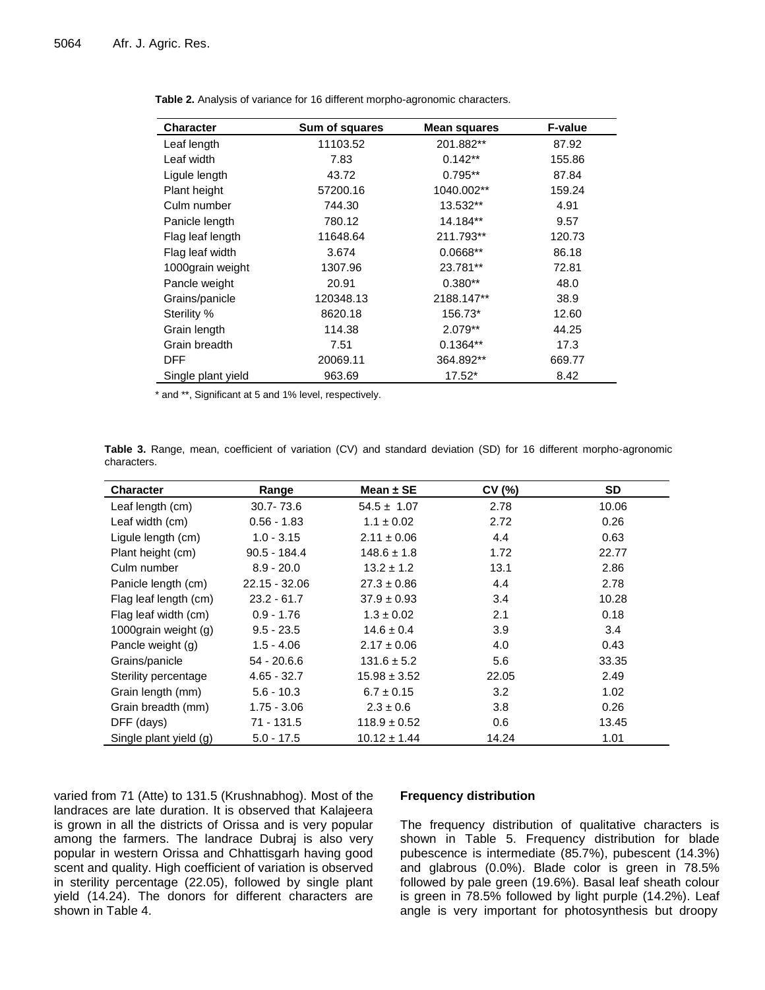| <b>Character</b>   | Sum of squares | Mean squares | <b>F-value</b> |
|--------------------|----------------|--------------|----------------|
| Leaf length        | 11103.52       | 201.882**    | 87.92          |
| Leaf width         | 7.83           | $0.142**$    | 155.86         |
| Ligule length      | 43.72          | $0.795**$    | 87.84          |
| Plant height       | 57200.16       | 1040.002**   | 159.24         |
| Culm number        | 744.30         | 13.532**     | 4.91           |
| Panicle length     | 780.12         | 14.184**     | 9.57           |
| Flag leaf length   | 11648.64       | 211.793**    | 120.73         |
| Flag leaf width    | 3.674          | $0.0668**$   | 86.18          |
| 1000grain weight   | 1307.96        | 23.781**     | 72.81          |
| Pancle weight      | 20.91          | $0.380**$    | 48.0           |
| Grains/panicle     | 120348.13      | 2188.147**   | 38.9           |
| Sterility %        | 8620.18        | 156.73*      | 12.60          |
| Grain length       | 114.38         | $2.079**$    | 44.25          |
| Grain breadth      | 7.51           | $0.1364**$   | 17.3           |
| <b>DFF</b>         | 20069.11       | 364.892**    | 669.77         |
| Single plant yield | 963.69         | $17.52*$     | 8.42           |

**Table 2.** Analysis of variance for 16 different morpho-agronomic characters.

\* and \*\*, Significant at 5 and 1% level, respectively.

**Table 3.** Range, mean, coefficient of variation (CV) and standard deviation (SD) for 16 different morpho-agronomic characters.

| <b>Character</b>       | Range           | Mean $\pm$ SE    | CV (%) | SD    |
|------------------------|-----------------|------------------|--------|-------|
| Leaf length (cm)       | $30.7 - 73.6$   | $54.5 \pm 1.07$  | 2.78   | 10.06 |
| Leaf width (cm)        | $0.56 - 1.83$   | $1.1 \pm 0.02$   | 2.72   | 0.26  |
| Ligule length (cm)     | $1.0 - 3.15$    | $2.11 \pm 0.06$  | 4.4    | 0.63  |
| Plant height (cm)      | $90.5 - 184.4$  | $148.6 \pm 1.8$  | 1.72   | 22.77 |
| Culm number            | $8.9 - 20.0$    | $13.2 \pm 1.2$   | 13.1   | 2.86  |
| Panicle length (cm)    | $22.15 - 32.06$ | $27.3 \pm 0.86$  | 4.4    | 2.78  |
| Flag leaf length (cm)  | $23.2 - 61.7$   | $37.9 \pm 0.93$  | 3.4    | 10.28 |
| Flag leaf width (cm)   | $0.9 - 1.76$    | $1.3 \pm 0.02$   | 2.1    | 0.18  |
| 1000grain weight (g)   | $9.5 - 23.5$    | $14.6 \pm 0.4$   | 3.9    | 3.4   |
| Pancle weight (g)      | $1.5 - 4.06$    | $2.17 \pm 0.06$  | 4.0    | 0.43  |
| Grains/panicle         | $54 - 20.66$    | $131.6 \pm 5.2$  | 5.6    | 33.35 |
| Sterility percentage   | $4.65 - 32.7$   | $15.98 \pm 3.52$ | 22.05  | 2.49  |
| Grain length (mm)      | $5.6 - 10.3$    | $6.7 \pm 0.15$   | 3.2    | 1.02  |
| Grain breadth (mm)     | $1.75 - 3.06$   | $2.3 \pm 0.6$    | 3.8    | 0.26  |
| DFF (days)             | $71 - 131.5$    | $118.9 \pm 0.52$ | 0.6    | 13.45 |
| Single plant yield (g) | $5.0 - 17.5$    | $10.12 \pm 1.44$ | 14.24  | 1.01  |

varied from 71 (Atte) to 131.5 (Krushnabhog). Most of the landraces are late duration. It is observed that Kalajeera is grown in all the districts of Orissa and is very popular among the farmers. The landrace Dubraj is also very popular in western Orissa and Chhattisgarh having good scent and quality. High coefficient of variation is observed in sterility percentage (22.05), followed by single plant yield (14.24). The donors for different characters are shown in Table 4.

#### **Frequency distribution**

The frequency distribution of qualitative characters is shown in Table 5. Frequency distribution for blade pubescence is intermediate (85.7%), pubescent (14.3%) and glabrous (0.0%). Blade color is green in 78.5% followed by pale green (19.6%). Basal leaf sheath colour is green in 78.5% followed by light purple (14.2%). Leaf angle is very important for photosynthesis but droopy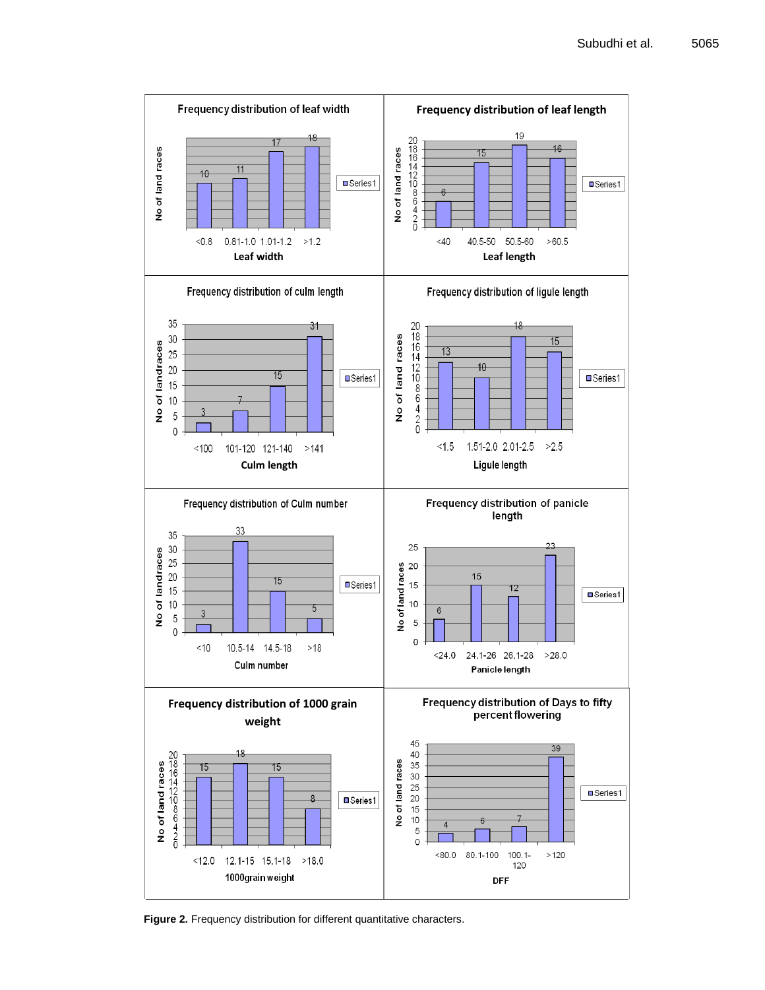

**Figure 2.** Frequency distribution for different quantitative characters.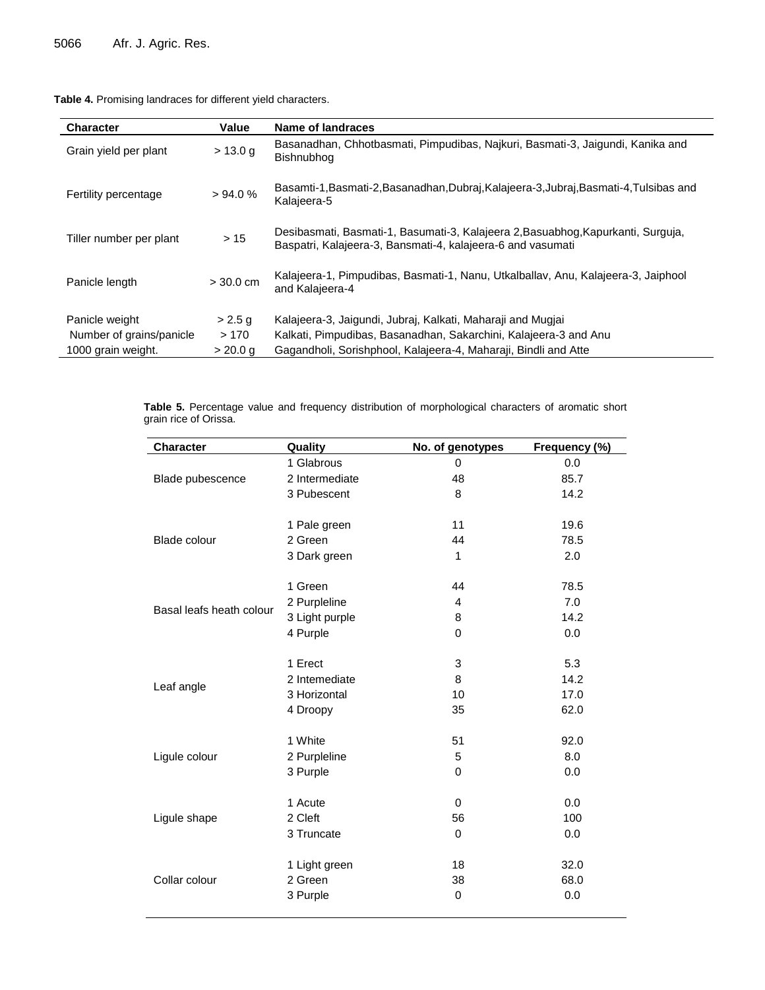| <b>Character</b>         | Value       | <b>Name of landraces</b>                                                                                                                        |
|--------------------------|-------------|-------------------------------------------------------------------------------------------------------------------------------------------------|
| Grain yield per plant    | > 13.0 g    | Basanadhan, Chhotbasmati, Pimpudibas, Najkuri, Basmati-3, Jaigundi, Kanika and<br>Bishnubhog                                                    |
| Fertility percentage     | >94.0%      | Basamti-1, Basmati-2, Basanadhan, Dubraj, Kalajeera-3, Jubraj, Basmati-4, Tulsibas and<br>Kalajeera-5                                           |
| Tiller number per plant  | $>15$       | Desibasmati, Basmati-1, Basumati-3, Kalajeera 2, Basuabhog, Kapurkanti, Surguja,<br>Baspatri, Kalajeera-3, Bansmati-4, kalajeera-6 and vasumati |
| Panicle length           | $> 30.0$ cm | Kalajeera-1, Pimpudibas, Basmati-1, Nanu, Utkalballav, Anu, Kalajeera-3, Jaiphool<br>and Kalajeera-4                                            |
| Panicle weight           | $> 2.5$ q   | Kalajeera-3, Jaigundi, Jubraj, Kalkati, Maharaji and Mugiai                                                                                     |
| Number of grains/panicle | >170        | Kalkati, Pimpudibas, Basanadhan, Sakarchini, Kalajeera-3 and Anu                                                                                |
| 1000 grain weight.       | $> 20.0$ g  | Gagandholi, Sorishphool, Kalajeera-4, Maharaji, Bindli and Atte                                                                                 |

**Table 5.** Percentage value and frequency distribution of morphological characters of aromatic short grain rice of Orissa.

| <b>Character</b>         | Quality        | No. of genotypes | Frequency (%) |
|--------------------------|----------------|------------------|---------------|
|                          | 1 Glabrous     | 0                | 0.0           |
| Blade pubescence         | 2 Intermediate | 48               | 85.7          |
|                          | 3 Pubescent    | 8                | 14.2          |
|                          |                |                  |               |
|                          | 1 Pale green   | 11               | 19.6          |
| Blade colour             | 2 Green        | 44               | 78.5          |
|                          | 3 Dark green   | 1                | 2.0           |
|                          | 1 Green        | 44               | 78.5          |
|                          | 2 Purpleline   | 4                | 7.0           |
| Basal leafs heath colour | 3 Light purple | 8                | 14.2          |
|                          | 4 Purple       | 0                | 0.0           |
|                          |                |                  |               |
|                          | 1 Erect        | 3                | 5.3           |
| Leaf angle               | 2 Intemediate  | 8                | 14.2          |
|                          | 3 Horizontal   | 10               | 17.0          |
|                          | 4 Droopy       | 35               | 62.0          |
|                          | 1 White        | 51               | 92.0          |
| Ligule colour            | 2 Purpleline   | 5                | 8.0           |
|                          | 3 Purple       | $\mathbf 0$      | 0.0           |
|                          |                |                  |               |
|                          | 1 Acute        | 0                | 0.0           |
| Ligule shape             | 2 Cleft        | 56               | 100           |
|                          | 3 Truncate     | 0                | 0.0           |
|                          |                | 18               | 32.0          |
|                          | 1 Light green  |                  |               |
| Collar colour            | 2 Green        | 38               | 68.0          |
|                          | 3 Purple       | $\mathbf 0$      | 0.0           |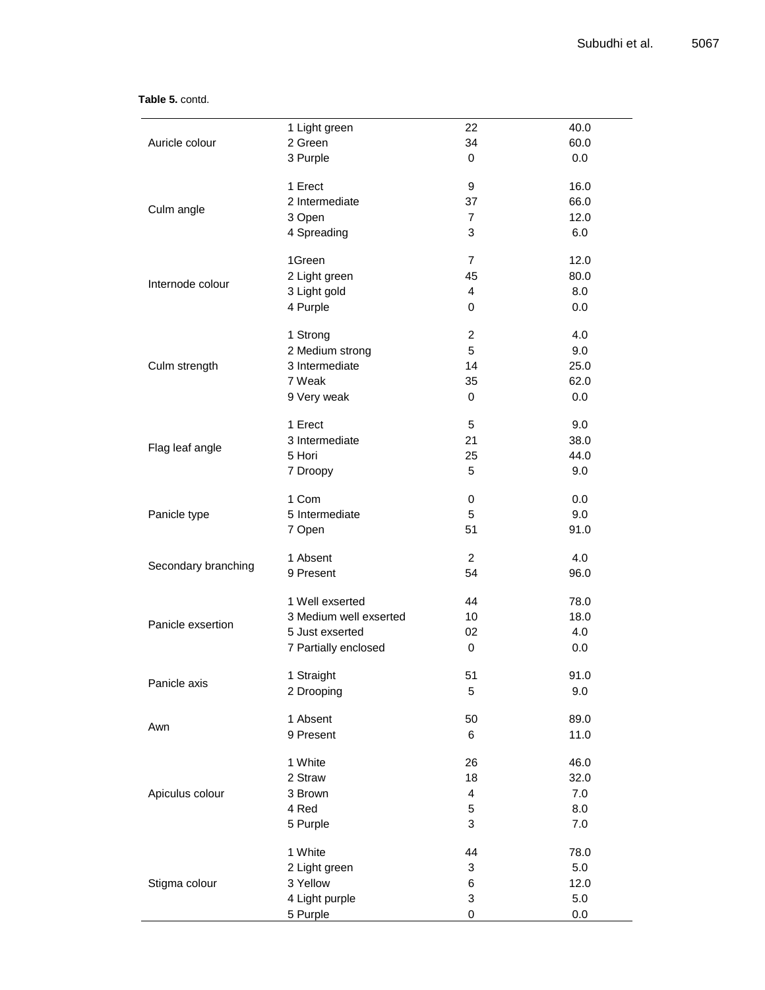| Table 5. contd. |  |  |  |
|-----------------|--|--|--|
|-----------------|--|--|--|

|                     | 1 Light green          | 22             | 40.0  |
|---------------------|------------------------|----------------|-------|
| Auricle colour      | 2 Green                | 34             | 60.0  |
|                     | 3 Purple               | 0              | 0.0   |
|                     |                        |                |       |
|                     | 1 Erect                | 9              | 16.0  |
| Culm angle          | 2 Intermediate         | 37             | 66.0  |
|                     | 3 Open                 | $\overline{7}$ | 12.0  |
|                     | 4 Spreading            | 3              | 6.0   |
|                     | 1Green                 | $\overline{7}$ | 12.0  |
|                     | 2 Light green          | 45             | 80.0  |
| Internode colour    | 3 Light gold           | 4              | 8.0   |
|                     | 4 Purple               | 0              | 0.0   |
|                     |                        |                |       |
|                     | 1 Strong               | $\overline{c}$ | 4.0   |
|                     | 2 Medium strong        | 5              | 9.0   |
| Culm strength       | 3 Intermediate         | 14             | 25.0  |
|                     | 7 Weak                 | 35             | 62.0  |
|                     | 9 Very weak            | 0              | 0.0   |
|                     | 1 Erect                | 5              | 9.0   |
|                     | 3 Intermediate         | 21             | 38.0  |
| Flag leaf angle     | 5 Hori                 | 25             | 44.0  |
|                     | 7 Droopy               | 5              | 9.0   |
|                     | 1 Com                  | 0              | 0.0   |
| Panicle type        | 5 Intermediate         | 5              | 9.0   |
|                     | 7 Open                 | 51             | 91.0  |
|                     |                        |                |       |
| Secondary branching | 1 Absent               | 2              | 4.0   |
|                     | 9 Present              | 54             | 96.0  |
|                     | 1 Well exserted        | 44             | 78.0  |
|                     | 3 Medium well exserted | 10             | 18.0  |
| Panicle exsertion   | 5 Just exserted        | 02             | 4.0   |
|                     | 7 Partially enclosed   | 0              | 0.0   |
|                     |                        |                |       |
| Panicle axis        | 1 Straight             | 51             | 91.0  |
|                     | 2 Drooping             | 5              | 9.0   |
|                     | 1 Absent               | 50             | 89.0  |
| Awn                 | 9 Present              | 6              | 11.0  |
|                     | 1 White                | 26             | 46.0  |
|                     | 2 Straw                | 18             | 32.0  |
| Apiculus colour     | 3 Brown                | 4              | 7.0   |
|                     | 4 Red                  | 5              | 8.0   |
|                     | 5 Purple               | 3              | $7.0$ |
|                     |                        |                |       |
|                     | 1 White                | 44             | 78.0  |
|                     | 2 Light green          | 3              | 5.0   |
| Stigma colour       | 3 Yellow               | 6              | 12.0  |
|                     | 4 Light purple         | 3              | 5.0   |
|                     | 5 Purple               | $\pmb{0}$      | 0.0   |